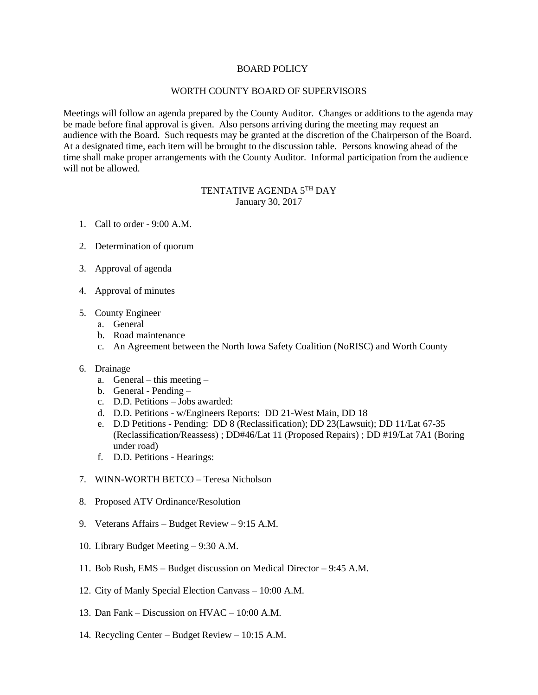## BOARD POLICY

## WORTH COUNTY BOARD OF SUPERVISORS

Meetings will follow an agenda prepared by the County Auditor. Changes or additions to the agenda may be made before final approval is given. Also persons arriving during the meeting may request an audience with the Board. Such requests may be granted at the discretion of the Chairperson of the Board. At a designated time, each item will be brought to the discussion table. Persons knowing ahead of the time shall make proper arrangements with the County Auditor. Informal participation from the audience will not be allowed.

## TENTATIVE AGENDA 5TH DAY January 30, 2017

- 1. Call to order 9:00 A.M.
- 2. Determination of quorum
- 3. Approval of agenda
- 4. Approval of minutes
- 5. County Engineer
	- a. General
	- b. Road maintenance
	- c. An Agreement between the North Iowa Safety Coalition (NoRISC) and Worth County

## 6. Drainage

- a. General this meeting –
- b. General Pending –
- c. D.D. Petitions Jobs awarded:
- d. D.D. Petitions w/Engineers Reports: DD 21-West Main, DD 18
- e. D.D Petitions Pending: DD 8 (Reclassification); DD 23(Lawsuit); DD 11/Lat 67-35 (Reclassification/Reassess) ; DD#46/Lat 11 (Proposed Repairs) ; DD #19/Lat 7A1 (Boring under road)
- f. D.D. Petitions Hearings:
- 7. WINN-WORTH BETCO Teresa Nicholson
- 8. Proposed ATV Ordinance/Resolution
- 9. Veterans Affairs Budget Review 9:15 A.M.
- 10. Library Budget Meeting 9:30 A.M.
- 11. Bob Rush, EMS Budget discussion on Medical Director 9:45 A.M.
- 12. City of Manly Special Election Canvass 10:00 A.M.
- 13. Dan Fank Discussion on HVAC 10:00 A.M.
- 14. Recycling Center Budget Review 10:15 A.M.